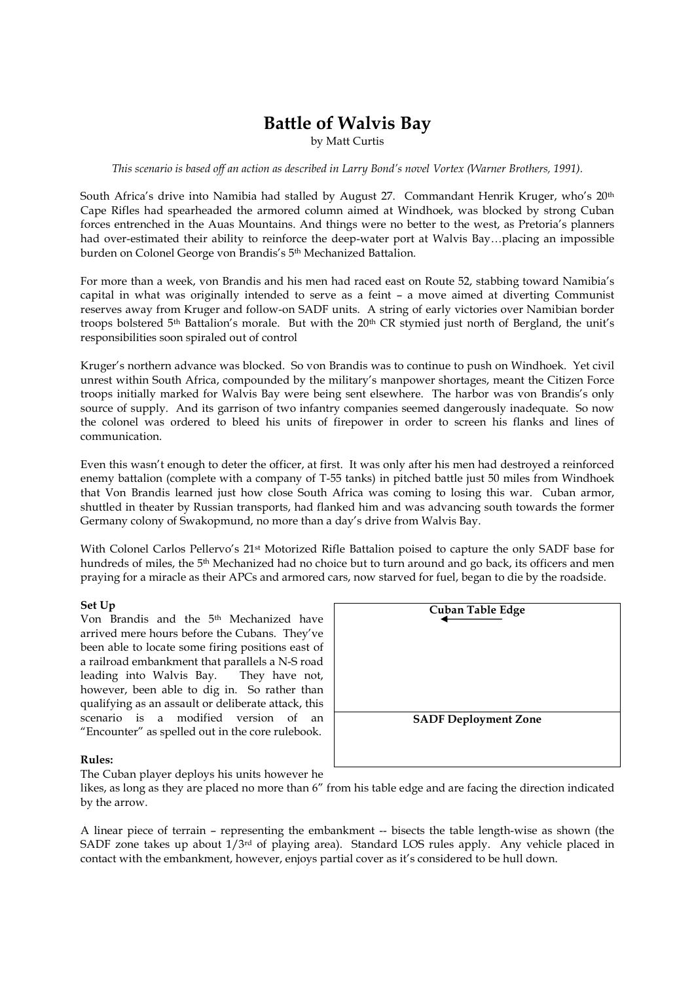# Battle of Walvis Bay

by Matt Curtis

This scenario is based off an action as described in Larry Bond's novel Vortex (Warner Brothers, 1991).

South Africa's drive into Namibia had stalled by August 27. Commandant Henrik Kruger, who's 20<sup>th</sup> Cape Rifles had spearheaded the armored column aimed at Windhoek, was blocked by strong Cuban forces entrenched in the Auas Mountains. And things were no better to the west, as Pretoria's planners had over-estimated their ability to reinforce the deep-water port at Walvis Bay...placing an impossible burden on Colonel George von Brandis's 5<sup>th</sup> Mechanized Battalion.

For more than a week, von Brandis and his men had raced east on Route 52, stabbing toward Namibia's capital in what was originally intended to serve as a feint – a move aimed at diverting Communist reserves away from Kruger and follow-on SADF units. A string of early victories over Namibian border troops bolstered 5<sup>th</sup> Battalion's morale. But with the  $20<sup>th</sup> CR$  stymied just north of Bergland, the unit's responsibilities soon spiraled out of control

Kruger's northern advance was blocked. So von Brandis was to continue to push on Windhoek. Yet civil unrest within South Africa, compounded by the military's manpower shortages, meant the Citizen Force troops initially marked for Walvis Bay were being sent elsewhere. The harbor was von Brandis's only source of supply. And its garrison of two infantry companies seemed dangerously inadequate. So now the colonel was ordered to bleed his units of firepower in order to screen his flanks and lines of communication.

Even this wasn't enough to deter the officer, at first. It was only after his men had destroyed a reinforced enemy battalion (complete with a company of T-55 tanks) in pitched battle just 50 miles from Windhoek that Von Brandis learned just how close South Africa was coming to losing this war. Cuban armor, shuttled in theater by Russian transports, had flanked him and was advancing south towards the former Germany colony of Swakopmund, no more than a day's drive from Walvis Bay.

With Colonel Carlos Pellervo's 21st Motorized Rifle Battalion poised to capture the only SADF base for hundreds of miles, the 5th Mechanized had no choice but to turn around and go back, its officers and men praying for a miracle as their APCs and armored cars, now starved for fuel, began to die by the roadside.

### Set Up

Von Brandis and the 5th Mechanized have arrived mere hours before the Cubans. They've been able to locate some firing positions east of a railroad embankment that parallels a N-S road leading into Walvis Bay. They have not, however, been able to dig in. So rather than qualifying as an assault or deliberate attack, this scenario is a modified version of an "Encounter" as spelled out in the core rulebook.

| <b>Cuban Table Edge</b>     |  |
|-----------------------------|--|
|                             |  |
|                             |  |
|                             |  |
|                             |  |
|                             |  |
|                             |  |
| <b>SADF Deployment Zone</b> |  |
|                             |  |
|                             |  |
|                             |  |

#### Rules:

The Cuban player deploys his units however he

likes, as long as they are placed no more than 6" from his table edge and are facing the direction indicated by the arrow.

A linear piece of terrain – representing the embankment -- bisects the table length-wise as shown (the SADF zone takes up about  $1/3$ <sup>rd</sup> of playing area). Standard LOS rules apply. Any vehicle placed in contact with the embankment, however, enjoys partial cover as it's considered to be hull down.